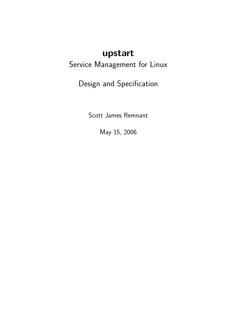# upstart

# Service Management for Linux

Design and Specification

Scott James Remnant

May 15, 2006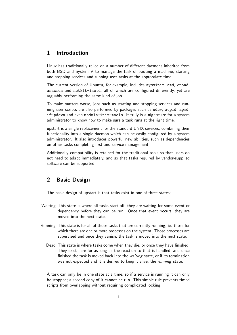## 1 Introduction

Linux has traditionally relied on a number of different daemons inherited from both BSD and System V to manage the task of booting a machine, starting and stopping services and running user tasks at the appropriate time.

The current version of Ubuntu, for example, includes sysvinit, atd, crond, anacron and netkit-inetd; all of which are configured differently, yet are arguably performing the same kind of job.

To make matters worse, jobs such as starting and stopping services and running user scripts are also performed by packages such as udev, acpid, apmd, ifupdown and even module-init-tools. It truly is a nightmare for a system administrator to know how to make sure a task runs at the right time.

upstart is a single replacement for the standard UNIX services, combining their functionality into a single daemon which can be easily configured by a system administrator. It also introduces powerful new abilities, such as dependencies on other tasks completing first and service management.

Additionally compatibility is retained for the traditional tools so that users do not need to adapt immediately, and so that tasks required by vendor-supplied software can be supported.

## 2 Basic Design

The basic design of upstart is that tasks exist in one of three states:

- Waiting This state is where all tasks start off, they are waiting for some event or dependency before they can be run. Once that event occurs, they are moved into the next state.
- Running This state is for all of those tasks that are currently running, ie. those for which there are one or more processes on the system. Those processes are supervised and once they vanish, the task is moved into the next state.
	- Dead This state is where tasks come when they die, or once they have finished. They exist here for as long as the reaction to that is handled, and once finished the task is moved back into the waiting state, or if its termination was not expected and it is desired to keep it alive, the *running* state.

A task can only be in one state at a time, so if a service is running it can only be stopped; a second copy of it cannot be run. This simple rule prevents timed scripts from overlapping without requiring complicated locking.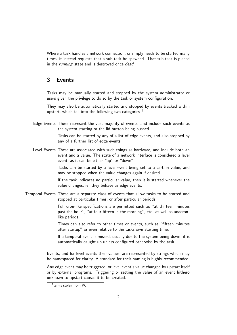Where a task handles a network connection, or simply needs to be started many times, it instead requests that a sub-task be spawned. That sub-task is placed in the running state and is destroyed once dead.

### 3 Events

Tasks may be manually started and stopped by the system administrator or users given the privilege to do so by the task or system configuration.

They may also be automatically started and stopped by events tracked within upstart, which fall into the following two categories  $1$ :

Edge Events These represent the vast majority of events, and include such events as the system starting or the lid button being pushed.

> Tasks can be started by any of a list of edge events, and also stopped by any of a further list of edge events.

Level Events These are associated with such things as hardware, and include both an event and a value. The state of a network interface is considered a level event, as it can be either "up" or "down".

> Tasks can be started by a level event being set to a certain value, and may be stopped when the value changes again if desired.

> If the task indicates no particular value, then it is started whenever the value changes; ie. they behave as edge events.

Temporal Events These are a separate class of events that allow tasks to be started and stopped at particular times, or after particular periods.

> Full cron-like specifications are permitted such as "at thirteen minutes past the hour", "at four-fifteen in the morning", etc. as well as anacronlike periods.

> Times can also refer to other times or events, such as "fifteen minutes after startup" or even relative to the tasks own starting time.

> If a temporal event is missed, usually due to the system being down, it is automatically caught up unless configured otherwise by the task.

Events, and for level events their values, are represented by strings which may be namespaced for clarity. A standard for their naming is highly recommended.

Any edge event may be triggered, or level event's value changed by upstart itself or by external programs. Triggering or setting the value of an event hithero unknown to upstart causes it to be created.

<sup>1</sup> terms stolen from PCI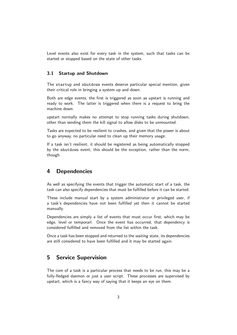Level events also exist for every task in the system, such that tasks can be started or stopped based on the state of other tasks.

#### 3.1 Startup and Shutdown

The startup and shutdown events deserve particular special mention, given their critical role in bringing a system up and down.

Both are edge events, the first is triggered as soon as upstart is running and ready to work. The latter is triggered when there is a request to bring the machine down.

upstart normally makes no attempt to stop running tasks during shutdown, other than sending them the kill signal to allow disks to be unmounted.

Tasks are expected to be resilient to crashes, and given that the power is about to go anyway, no particular need to clean up their memory usage.

If a task isn't resilient, it should be registered as being automatically stopped by the shutdown event; this should be the exception, rather than the norm, though.

#### 4 Dependencies

As well as specifying the events that trigger the automatic start of a task, the task can also specify dependencies that must be fulfilled before it can be started.

These include manual start by a system administrator or privileged user, if a task's dependencies have not been fulfilled yet then it cannot be started manually.

Dependencies are simply a list of events that must occur first, which may be edge, level or temporarl. Once the event has occurred, that dependency is considered fulfilled and removed from the list within the task.

Once a task has been stopped and returned to the waiting state, its dependencies are still considered to have been fulfilled and it may be started again.

## 5 Service Supervision

The core of a task is a particular process that needs to be run, this may be a fully-fledged daemon or just a user script. These processes are supervised by upstart, which is a fancy way of saying that it keeps an eye on them.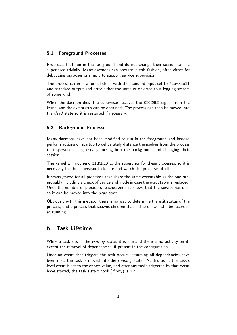#### 5.1 Foreground Processes

Processes that run in the foreground and do not change their session can be supervised trivially. Many daemons can operate in this fashion, often either for debugging purposes or simply to support service supervision.

The process is run in a forked child, with the standard input set to /dev/null and standard output and error either the same or diverted to a logging system of some kind.

When the daemon dies, the supervisor receives the SIGCHLD signal from the kernel and the exit status can be obtained. The process can then be moved into the *dead* state so it is restarted if necessary.

#### 5.2 Background Processes

Many daemons have not been modified to run in the foreground and instead perform actions on startup to deliberately distance themselves from the process that spawned them, usually forking into the background and changing their session.

The kernel will not send SIGCHLD to the supervisor for these processes, so it is necessary for the supervisor to locate and watch the processes itself.

It scans /proc for all processes that share the same executable as the one run, probably including a check of device and inode in case the executable is replaced. Once the number of processes reaches zero, it knows that the service has died so it can be moved into the *dead* state.

Obviously with this method, there is no way to determine the exit status of the process; and a process that spawns children that fail to die will still be recorded as running.

## 6 Task Lifetime

While a task sits in the waiting state, it is idle and there is no activity on it; except the removal of dependencies, if present in the configuration.

Once an event that triggers the task occurs, assuming all dependencies have been met, the task is moved into the running state. At this point the task's level event is set to the start value, and after any tasks triggered by that event have started, the task's start hook (if any) is run.